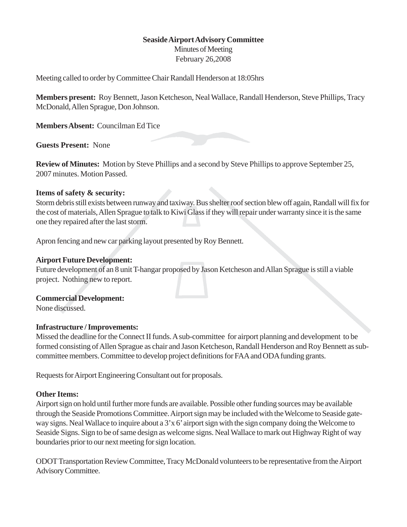## **Seaside Airport Advisory Committee**

Minutes of Meeting February 26,2008

Meeting called to order by Committee Chair Randall Henderson at 18:05hrs

**Members present:** Roy Bennett, Jason Ketcheson, Neal Wallace, Randall Henderson, Steve Phillips, Tracy McDonald, Allen Sprague, Don Johnson.

**Members Absent:** Councilman Ed Tice

**Guests Present:** None

**Review of Minutes:** Motion by Steve Phillips and a second by Steve Phillips to approve September 25, 2007 minutes. Motion Passed.

## **Items of safety & security:**

Storm debris still exists between runway and taxiway. Bus shelter roof section blew off again, Randall will fix for the cost of materials, Allen Sprague to talk to Kiwi Glass if they will repair under warranty since it is the same one they repaired after the last storm.

Apron fencing and new car parking layout presented by Roy Bennett.

## **Airport Future Development:**

Future development of an 8 unit T-hangar proposed by Jason Ketcheson and Allan Sprague is still a viable project. Nothing new to report.

**Commercial Development:**

None discussed.

#### **Infrastructure / Improvements:**

Missed the deadline for the Connect II funds. A sub-committee for airport planning and development to be formed consisting of Allen Sprague as chair and Jason Ketcheson, Randall Henderson and Roy Bennett as subcommittee members. Committee to develop project definitions for FAA and ODA funding grants.

Requests for Airport Engineering Consultant out for proposals.

#### **Other Items:**

Airport sign on hold until further more funds are available. Possible other funding sources may be available through the Seaside Promotions Committee. Airport sign may be included with the Welcome to Seaside gateway signs. Neal Wallace to inquire about a 3'x 6' airport sign with the sign company doing the Welcome to Seaside Signs. Sign to be of same design as welcome signs. Neal Wallace to mark out Highway Right of way boundaries prior to our next meeting for sign location.

ODOT Transportation Review Committee, Tracy McDonald volunteers to be representative from the Airport Advisory Committee.